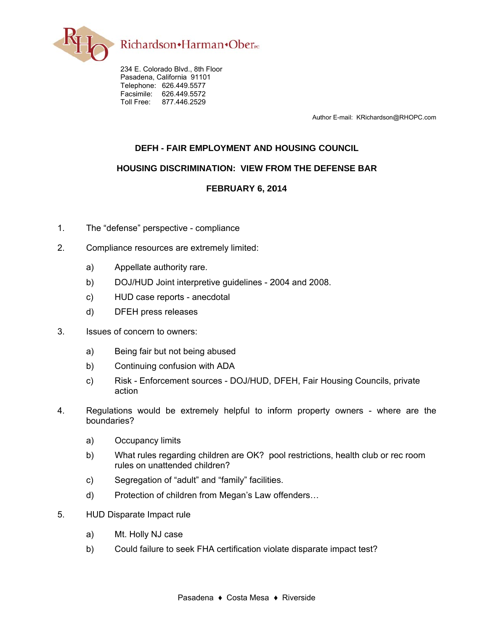

234 E. Colorado Blvd., 8th Floor Pasadena, California 91101 Telephone: 626.449.5577 Facsimile: 626.449.5572 Toll Free: 877.446.2529

Author E-mail: KRichardson@RHOPC.com

## **DEFH - FAIR EMPLOYMENT AND HOUSING COUNCIL**

## **HOUSING DISCRIMINATION: VIEW FROM THE DEFENSE BAR**

## FEBRUARY 6, 2014

- $1<sub>1</sub>$ The "defense" perspective - compliance
- $2.$ Compliance resources are extremely limited:
	- Appellate authority rare. a)
	- DOJ/HUD Joint interpretive guidelines 2004 and 2008. b)
	- $\mathsf{C}$ ) HUD case reports - anecdotal
	- **DFEH press releases** d)
- $3.$ Issues of concern to owners:
	- Being fair but not being abused a)
	- b) Continuing confusion with ADA
	- Risk Enforcement sources DOJ/HUD, DFEH, Fair Housing Councils, private  $\mathsf{C}$ ) action
- $\overline{4}$ Regulations would be extremely helpful to inform property owners - where are the boundaries?
	- Occupancy limits a)
	- b) What rules regarding children are OK? pool restrictions, health club or rec room rules on unattended children?
	- $\mathsf{C}$ ) Segregation of "adult" and "family" facilities.
	- d) Protection of children from Megan's Law offenders...
- 5. **HUD Disparate Impact rule** 
	- $a)$ Mt. Holly NJ case
	- Could failure to seek FHA certification violate disparate impact test? b)